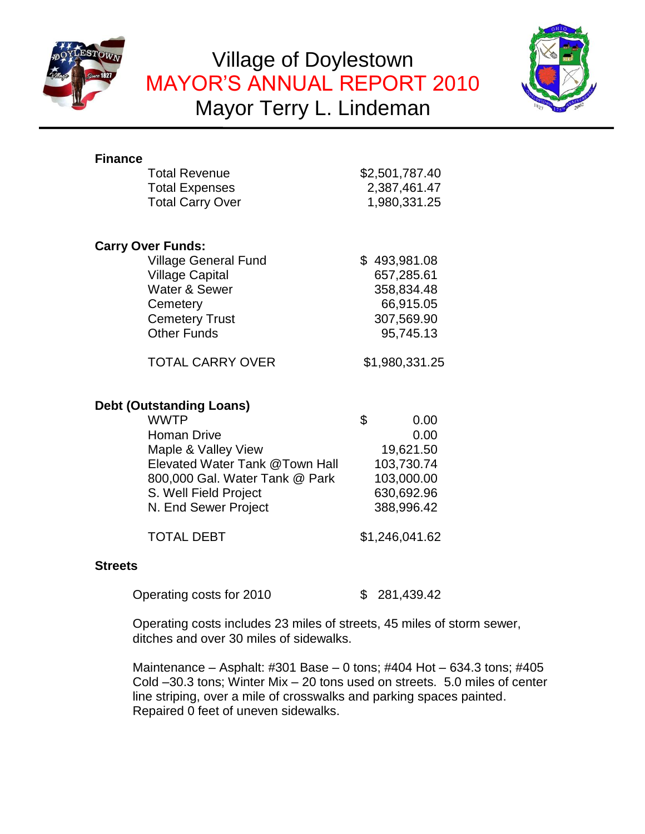

# Village of Doylestown MAYOR'S ANNUAL REPORT 2010 Mayor Terry L. Lindeman



| <b>Finance</b><br><b>Total Revenue</b><br><b>Total Expenses</b><br><b>Total Carry Over</b>                                                                                                                       | \$2,501,787.40<br>2,387,461.47<br>1,980,331.25                                          |
|------------------------------------------------------------------------------------------------------------------------------------------------------------------------------------------------------------------|-----------------------------------------------------------------------------------------|
| <b>Carry Over Funds:</b>                                                                                                                                                                                         |                                                                                         |
| <b>Village General Fund</b><br><b>Village Capital</b><br>Water & Sewer<br>Cemetery<br><b>Cemetery Trust</b><br><b>Other Funds</b>                                                                                | \$493,981.08<br>657,285.61<br>358,834.48<br>66,915.05<br>307,569.90<br>95,745.13        |
| <b>TOTAL CARRY OVER</b>                                                                                                                                                                                          | \$1,980,331.25                                                                          |
| <b>Debt (Outstanding Loans)</b><br><b>WWTP</b><br><b>Homan Drive</b><br>Maple & Valley View<br>Elevated Water Tank @Town Hall<br>800,000 Gal. Water Tank @ Park<br>S. Well Field Project<br>N. End Sewer Project | \$<br>0.00<br>0.00<br>19,621.50<br>103,730.74<br>103,000.00<br>630,692.96<br>388,996.42 |
| <b>TOTAL DEBT</b>                                                                                                                                                                                                | \$1,246,041.62                                                                          |
| <b>Streets</b>                                                                                                                                                                                                   |                                                                                         |
| Operating costs for 2010                                                                                                                                                                                         | 281,439.42<br>S.                                                                        |

Operating costs includes 23 miles of streets, 45 miles of storm sewer, ditches and over 30 miles of sidewalks.

Maintenance – Asphalt: #301 Base – 0 tons; #404 Hot – 634.3 tons; #405 Cold –30.3 tons; Winter Mix – 20 tons used on streets. 5.0 miles of center line striping, over a mile of crosswalks and parking spaces painted. Repaired 0 feet of uneven sidewalks.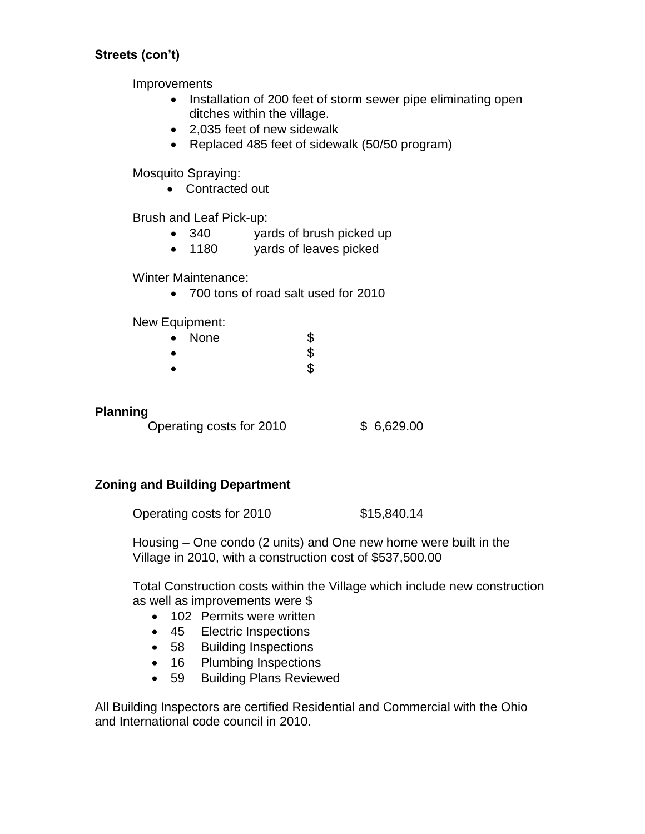# **Streets (con't)**

Improvements

- Installation of 200 feet of storm sewer pipe eliminating open ditches within the village.
- 2,035 feet of new sidewalk
- Replaced 485 feet of sidewalk (50/50 program)

Mosquito Spraying:

• Contracted out

Brush and Leaf Pick-up:

- 340 yards of brush picked up
- 1180 yards of leaves picked

Winter Maintenance:

700 tons of road salt used for 2010

New Equipment:

| $\bullet$ | None | \$ |
|-----------|------|----|
|           |      | ሖ  |

 $\bullet$  5  $\bullet$  5

# **Planning**

Operating costs for 2010 \$ 6,629.00

# **Zoning and Building Department**

Operating costs for 2010 \$15,840.14

Housing – One condo (2 units) and One new home were built in the Village in 2010, with a construction cost of \$537,500.00

Total Construction costs within the Village which include new construction as well as improvements were \$

- 102 Permits were written
- 45 Electric Inspections
- 58 Building Inspections
- 16 Plumbing Inspections
- 59 Building Plans Reviewed

All Building Inspectors are certified Residential and Commercial with the Ohio and International code council in 2010.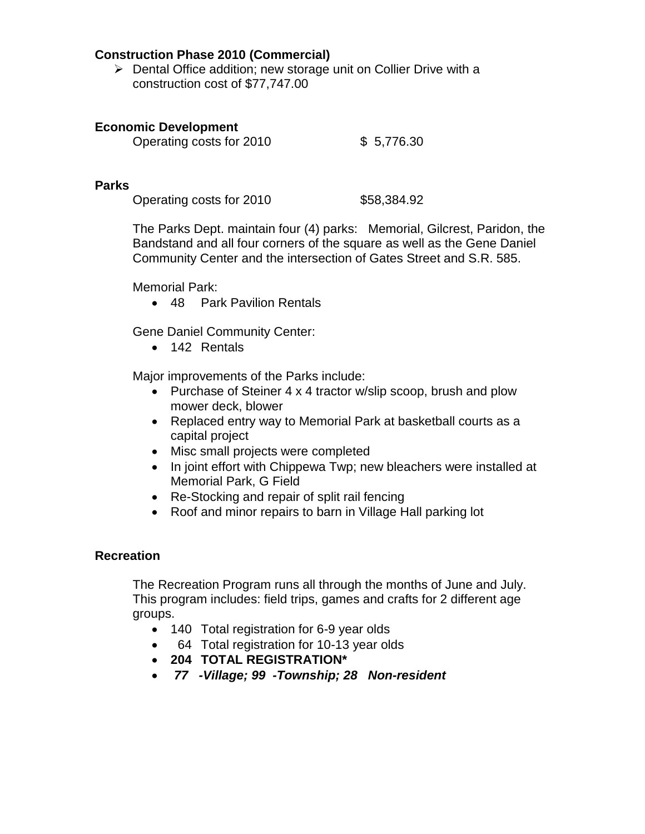#### **Construction Phase 2010 (Commercial)**

 $\triangleright$  Dental Office addition; new storage unit on Collier Drive with a construction cost of \$77,747.00

#### **Economic Development**

| Operating costs for 2010 | \$5,776.30 |
|--------------------------|------------|

## **Parks**

Operating costs for 2010 \$58,384.92

The Parks Dept. maintain four (4) parks: Memorial, Gilcrest, Paridon, the Bandstand and all four corners of the square as well as the Gene Daniel Community Center and the intersection of Gates Street and S.R. 585.

Memorial Park:

• 48 Park Pavilion Rentals

Gene Daniel Community Center:

• 142 Rentals

Major improvements of the Parks include:

- Purchase of Steiner 4 x 4 tractor w/slip scoop, brush and plow mower deck, blower
- Replaced entry way to Memorial Park at basketball courts as a capital project
- Misc small projects were completed
- In joint effort with Chippewa Twp; new bleachers were installed at Memorial Park, G Field
- Re-Stocking and repair of split rail fencing
- Roof and minor repairs to barn in Village Hall parking lot

#### **Recreation**

The Recreation Program runs all through the months of June and July. This program includes: field trips, games and crafts for 2 different age groups.

- 140 Total registration for 6-9 year olds
- 64 Total registration for 10-13 year olds
- **204 TOTAL REGISTRATION\***
- *77 -Village; 99 -Township; 28 Non-resident*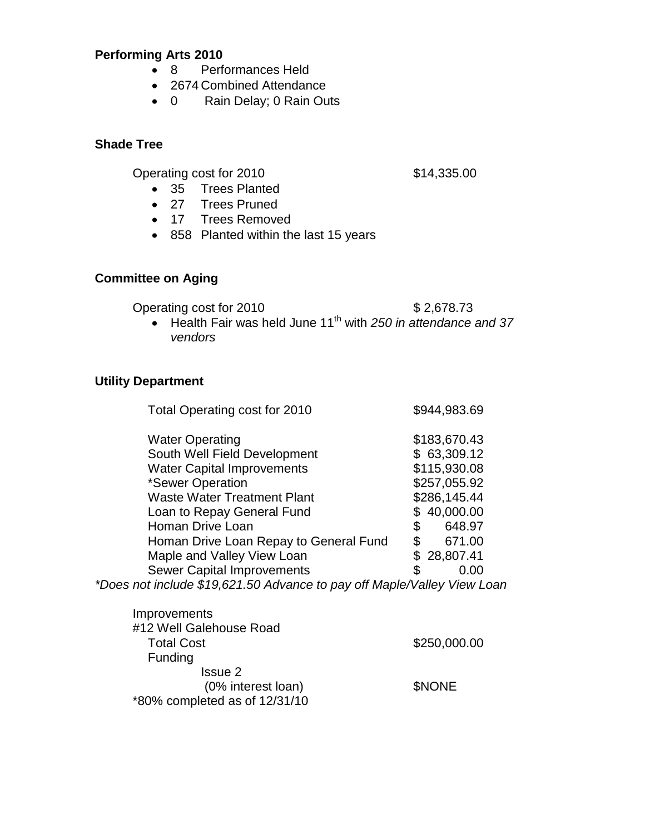# **Performing Arts 2010**

- 8 Performances Held
- 2674 Combined Attendance
- 0 Rain Delay; 0 Rain Outs

## **Shade Tree**

Operating cost for 2010 \$14,335.00

- 35 Trees Planted
- 27 Trees Pruned
- 17 Trees Removed
- 858 Planted within the last 15 years

# **Committee on Aging**

Operating cost for 2010 \$2,678.73

 Health Fair was held June 11th with *250 in attendance and 37 vendors*

# **Utility Department**

| Total Operating cost for 2010                                           | \$944,983.69 |
|-------------------------------------------------------------------------|--------------|
| <b>Water Operating</b>                                                  | \$183,670.43 |
| South Well Field Development                                            | \$63,309.12  |
| <b>Water Capital Improvements</b>                                       | \$115,930.08 |
| *Sewer Operation                                                        | \$257,055.92 |
| <b>Waste Water Treatment Plant</b>                                      | \$286,145.44 |
| Loan to Repay General Fund                                              | \$40,000.00  |
| Homan Drive Loan                                                        | 648.97<br>\$ |
| Homan Drive Loan Repay to General Fund                                  | \$<br>671.00 |
| Maple and Valley View Loan                                              | \$28,807.41  |
| <b>Sewer Capital Improvements</b>                                       | \$<br>0.00   |
| *Does not include \$19,621.50 Advance to pay off Maple/Valley View Loan |              |

| Improvements                  |              |
|-------------------------------|--------------|
| #12 Well Galehouse Road       |              |
| <b>Total Cost</b>             | \$250,000.00 |
| Funding                       |              |
| Issue 2                       |              |
| (0% interest loan)            | <b>SNONE</b> |
| *80% completed as of 12/31/10 |              |